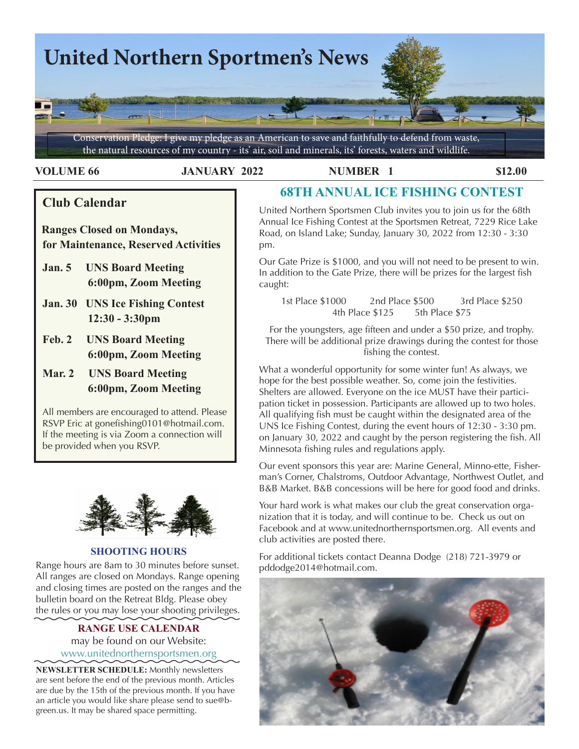

**VOLUME 66 JANUARY 2022 NUMBER 1 \$12.00** 

## **Club Calendar**

 **Ranges Closed on Mondays, for Maintenance, Reserved Activities**

- **Jan. 5 UNS Board Meeting 6:00pm, Zoom Meeting**
- **Jan. 30 UNS Ice Fishing Contest 12:30 - 3:30pm**
- **Feb. 2 UNS Board Meeting 6:00pm, Zoom Meeting**
- **Mar. 2 UNS Board Meeting 6:00pm, Zoom Meeting**

All members are encouraged to attend. Please RSVP Eric at gonefishing0101@hotmail.com. If the meeting is via Zoom a connection will be provided when you RSVP.



## **SHOOTING HOURS**

Range hours are 8am to 30 minutes before sunset. All ranges are closed on Mondays. Range opening and closing times are posted on the ranges and the bulletin board on the Retreat Bldg. Please obey the rules or you may lose your shooting privileges.

## **RANGE USE CALENDAR**  may be found on our Website: [www.unitednorthernsportsmen.org](http://www.unitednorthernsportsmen.org)

**NEWSLETTER SCHEDULE:** Monthly newsletters are sent before the end of the previous month. Articles are due by the 15th of the previous month. If you have an article you would like share please send to sue@bgreen.us. It may be shared space permitting.

# **68TH ANNUAL ICE FISHING CONTEST**

United Northern Sportsmen Club invites you to join us for the 68th Annual Ice Fishing Contest at the Sportsmen Retreat, 7229 Rice Lake Road, on Island Lake; Sunday, January 30, 2022 from 12:30 - 3:30 pm.

Our Gate Prize is \$1000, and you will not need to be present to win. In addition to the Gate Prize, there will be prizes for the largest fish caught:

1st Place \$1000 2nd Place \$500 3rd Place \$250 4th Place \$125 5th Place \$75

For the youngsters, age fifteen and under a \$50 prize, and trophy. There will be additional prize drawings during the contest for those fishing the contest.

What a wonderful opportunity for some winter fun! As always, we hope for the best possible weather. So, come join the festivities. Shelters are allowed. Everyone on the ice MUST have their participation ticket in possession. Participants are allowed up to two holes. All qualifying fish must be caught within the designated area of the UNS Ice Fishing Contest, during the event hours of 12:30 - 3:30 pm. on January 30, 2022 and caught by the person registering the fish. All Minnesota fishing rules and regulations apply.

marrs comer, charsdoms, Oddoor Advantage, Nordiwest Odder, and<br>B&B Market. B&B concessions will be here for good food and drinks. Our event sponsors this year are: Marine General, Minno-ette, Fisherman's Corner, Chalstroms, Outdoor Advantage, Northwest Outlet, and

Your hard work is what makes our club the great conservation organization that it is today, and will continue to be. Check us out on Facebook and at www.unitednorthernsportsmen.org. All events and club activities are posted there.

For additional tickets contact Deanna Dodge (218) 721-3979 or pddodge2014@hotmail.com.

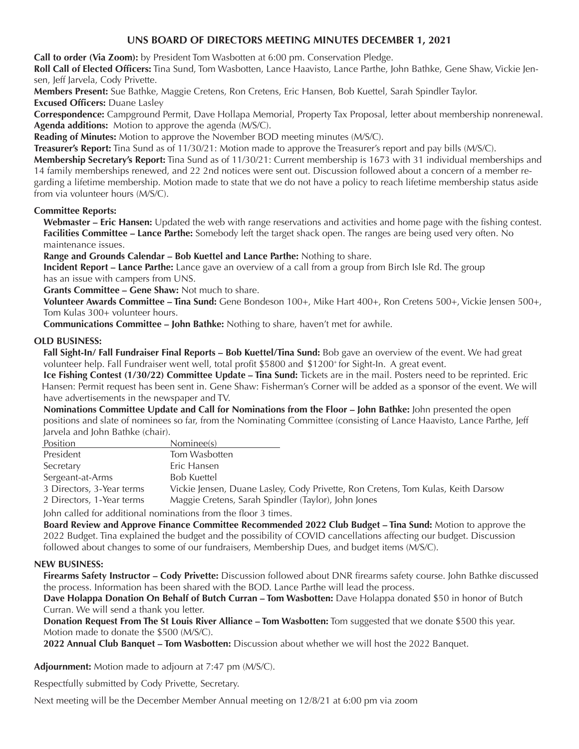## **UNS BOARD OF DIRECTORS MEETING MINUTES DECEMBER 1, 2021**

**Call to order (Via Zoom):** by President Tom Wasbotten at 6:00 pm. Conservation Pledge.

 **Roll Call of Elected Officers:** Tina Sund, Tom Wasbotten, Lance Haavisto, Lance Parthe, John Bathke, Gene Shaw, Vickie Jensen, Jeff Jarvela, Cody Privette.

**Members Present:** Sue Bathke, Maggie Cretens, Ron Cretens, Eric Hansen, Bob Kuettel, Sarah Spindler Taylor. **Excused Officers:** Duane Lasley

**Correspondence:** Campground Permit, Dave Hollapa Memorial, Property Tax Proposal, letter about membership nonrenewal. **Agenda additions:** Motion to approve the agenda (M/S/C).

**Reading of Minutes:** Motion to approve the November BOD meeting minutes (M/S/C).

**Treasurer's Report:** Tina Sund as of 11/30/21: Motion made to approve the Treasurer's report and pay bills (M/S/C).

**Membership Secretary's Report:** Tina Sund as of 11/30/21: Current membership is 1673 with 31 individual memberships and 14 family memberships renewed, and 22 2nd notices were sent out. Discussion followed about a concern of a member regarding a lifetime membership. Motion made to state that we do not have a policy to reach lifetime membership status aside from via volunteer hours (M/S/C).

#### **Committee Reports:**

**Webmaster – Eric Hansen:** Updated the web with range reservations and activities and home page with the fishing contest. **Facilities Committee – Lance Parthe:** Somebody left the target shack open. The ranges are being used very often. No maintenance issues.

**Range and Grounds Calendar – Bob Kuettel and Lance Parthe:** Nothing to share.

**Incident Report – Lance Parthe:** Lance gave an overview of a call from a group from Birch Isle Rd. The group has an issue with campers from UNS.

**Grants Committee – Gene Shaw:** Not much to share.

**Volunteer Awards Committee – Tina Sund:** Gene Bondeson 100+, Mike Hart 400+, Ron Cretens 500+, Vickie Jensen 500+, Tom Kulas 300+ volunteer hours.

**Communications Committee – John Bathke:** Nothing to share, haven't met for awhile.

#### **OLD BUSINESS:**

**Fall Sight-In/ Fall Fundraiser Final Reports – Bob Kuettel/Tina Sund:** Bob gave an overview of the event. We had great volunteer help. Fall Fundraiser went well, total profit \$5800 and \$1200+ for Sight-In. A great event.

**Ice Fishing Contest (1/30/22) Committee Update – Tina Sund:** Tickets are in the mail. Posters need to be reprinted. Eric Hansen: Permit request has been sent in. Gene Shaw: Fisherman's Corner will be added as a sponsor of the event. We will have advertisements in the newspaper and TV.

**Nominations Committee Update and Call for Nominations from the Floor – John Bathke:** John presented the open positions and slate of nominees so far, from the Nominating Committee (consisting of Lance Haavisto, Lance Parthe, Jeff Jarvela and John Bathke (chair).

| Position                                                      | Nominee(s)                                                                       |  |
|---------------------------------------------------------------|----------------------------------------------------------------------------------|--|
| President                                                     | Tom Wasbotten                                                                    |  |
| Secretary                                                     | Eric Hansen                                                                      |  |
| Sergeant-at-Arms                                              | <b>Bob Kuettel</b>                                                               |  |
| 3 Directors, 3-Year terms                                     | Vickie Jensen, Duane Lasley, Cody Privette, Ron Cretens, Tom Kulas, Keith Darsow |  |
| 2 Directors, 1-Year terms                                     | Maggie Cretens, Sarah Spindler (Taylor), John Jones                              |  |
| lobn called for additional nominations from the floor 3 times |                                                                                  |  |

 John called for additional nominations from the floor 3 times.

**Board Review and Approve Finance Committee Recommended 2022 Club Budget – Tina Sund:** Motion to approve the 2022 Budget. Tina explained the budget and the possibility of COVID cancellations affecting our budget. Discussion followed about changes to some of our fundraisers, Membership Dues, and budget items (M/S/C).

## **NEW BUSINESS:**

**Firearms Safety Instructor – Cody Privette:** Discussion followed about DNR firearms safety course. John Bathke discussed the process. Information has been shared with the BOD. Lance Parthe will lead the process.

**Dave Holappa Donation On Behalf of Butch Curran – Tom Wasbotten:** Dave Holappa donated \$50 in honor of Butch Curran. We will send a thank you letter.

**Donation Request From The St Louis River Alliance – Tom Wasbotten:** Tom suggested that we donate \$500 this year. Motion made to donate the \$500 (M/S/C).

**2022 Annual Club Banquet – Tom Wasbotten:** Discussion about whether we will host the 2022 Banquet.

**Adjournment:** Motion made to adjourn at 7:47 pm (M/S/C).

Respectfully submitted by Cody Privette, Secretary.

Next meeting will be the December Member Annual meeting on 12/8/21 at 6:00 pm via zoom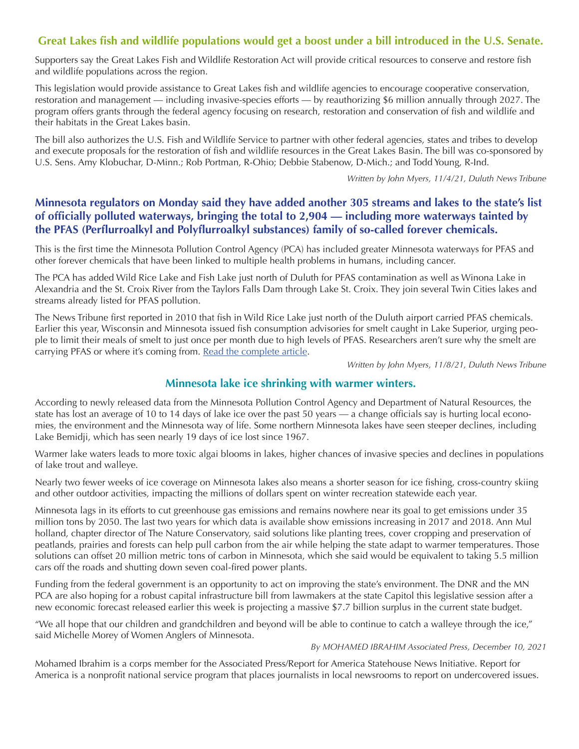## **Great Lakes fish and wildlife populations would get a boost under a bill introduced in the U.S. Senate.**

Supporters say the Great Lakes Fish and Wildlife Restoration Act will provide critical resources to conserve and restore fish and wildlife populations across the region.

This legislation would provide assistance to Great Lakes fish and wildlife agencies to encourage cooperative conservation, restoration and management — including invasive-species efforts — by reauthorizing \$6 million annually through 2027. The program offers grants through the federal agency focusing on research, restoration and conservation of fish and wildlife and their habitats in the Great Lakes basin.

The bill also authorizes the U.S. Fish and Wildlife Service to partner with other federal agencies, states and tribes to develop and execute proposals for the restoration of fish and wildlife resources in the Great Lakes Basin. The bill was co-sponsored by U.S. Sens. Amy Klobuchar, D-Minn.; Rob Portman, R-Ohio; Debbie Stabenow, D-Mich.; and Todd Young, R-Ind.

*Written by John Myers, 11/4/21, Duluth News Tribune*

## **Minnesota regulators on Monday said they have added another 305 streams and lakes to the state's list of officially polluted waterways, bringing the total to 2,904 — including more waterways tainted by the PFAS (Perflurroalkyl and Polyflurroalkyl substances) family of so-called forever chemicals.**

This is the first time the Minnesota Pollution Control Agency (PCA) has included greater Minnesota waterways for PFAS and other forever chemicals that have been linked to multiple health problems in humans, including cancer.

The PCA has added Wild Rice Lake and Fish Lake just north of Duluth for PFAS contamination as well as Winona Lake in Alexandria and the St. Croix River from the Taylors Falls Dam through Lake St. Croix. They join several Twin Cities lakes and streams already listed for PFAS pollution.

The News Tribune first reported in 2010 that fish in Wild Rice Lake just north of the Duluth airport carried PFAS chemicals. Earlier this year, Wisconsin and Minnesota issued fish consumption advisories for smelt caught in Lake Superior, urging people to limit their meals of smelt to just once per month due to high levels of PFAS. Researchers aren't sure why the smelt are carrying PFAS or where it's coming from. Read the [complete](https://www.duluthnewstribune.com/news/science-and-nature/7273056-Forever-chemicals-add-to-Minnesota-impaired-waters-list) article.

*Written by John Myers, 11/8/21, Duluth News Tribune*

## **Minnesota lake ice shrinking with warmer winters.**

According to newly released data from the Minnesota Pollution Control Agency and Department of Natural Resources, the state has lost an average of 10 to 14 days of lake ice over the past 50 years — a change officials say is hurting local economies, the environment and the Minnesota way of life. Some northern Minnesota lakes have seen steeper declines, including Lake Bemidji, which has seen nearly 19 days of ice lost since 1967.

Warmer lake waters leads to more toxic algai blooms in lakes, higher chances of invasive species and declines in populations of lake trout and walleye.

Nearly two fewer weeks of ice coverage on Minnesota lakes also means a shorter season for ice fishing, cross-country skiing and other outdoor activities, impacting the millions of dollars spent on winter recreation statewide each year.

Minnesota lags in its efforts to cut greenhouse gas emissions and remains nowhere near its goal to get emissions under 35 million tons by 2050. The last two years for which data is available show emissions increasing in 2017 and 2018. Ann Mul holland, chapter director of The Nature Conservatory, said solutions like planting trees, cover cropping and preservation of peatlands, prairies and forests can help pull carbon from the air while helping the state adapt to warmer temperatures. Those solutions can offset 20 million metric tons of carbon in Minnesota, which she said would be equivalent to taking 5.5 million cars off the roads and shutting down seven coal-fired power plants.

Funding from the federal government is an opportunity to act on improving the state's environment. The DNR and the MN PCA are also hoping for a robust capital infrastructure bill from lawmakers at the state Capitol this legislative session after a new economic forecast released earlier this week is projecting a massive \$7.7 billion surplus in the current state budget.

"We all hope that our children and grandchildren and beyond will be able to continue to catch a walleye through the ice," said Michelle Morey of Women Anglers of Minnesota.

*By MOHAMED IBRAHIM Associated Press, December 10, 2021*

Mohamed Ibrahim is a corps member for the Associated Press/Report for America Statehouse News Initiative. Report for America is a nonprofit national service program that places journalists in local newsrooms to report on undercovered issues.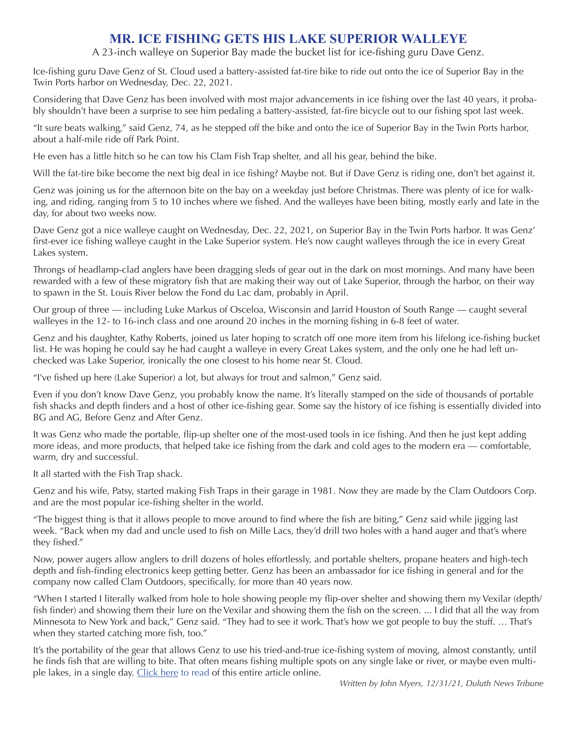## **MR. ICE FISHING GETS HIS LAKE SUPERIOR WALLEYE**

## A 23-inch walleye on Superior Bay made the bucket list for ice-fishing guru Dave Genz.

Ice-fishing guru Dave Genz of St. Cloud used a battery-assisted fat-tire bike to ride out onto the ice of Superior Bay in the Twin Ports harbor on Wednesday, Dec. 22, 2021.

Considering that Dave Genz has been involved with most major advancements in ice fishing over the last 40 years, it probably shouldn't have been a surprise to see him pedaling a battery-assisted, fat-fire bicycle out to our fishing spot last week.

"It sure beats walking," said Genz, 74, as he stepped off the bike and onto the ice of Superior Bay in the Twin Ports harbor, about a half-mile ride off Park Point.

He even has a little hitch so he can tow his Clam Fish Trap shelter, and all his gear, behind the bike.

Will the fat-tire bike become the next big deal in ice fishing? Maybe not. But if Dave Genz is riding one, don't bet against it.

Genz was joining us for the afternoon bite on the bay on a weekday just before Christmas. There was plenty of ice for walking, and riding, ranging from 5 to 10 inches where we fished. And the walleyes have been biting, mostly early and late in the day, for about two weeks now.

Dave Genz got a nice walleye caught on Wednesday, Dec. 22, 2021, on Superior Bay in the Twin Ports harbor. It was Genz' first-ever ice fishing walleye caught in the Lake Superior system. He's now caught walleyes through the ice in every Great Lakes system.

Throngs of headlamp-clad anglers have been dragging sleds of gear out in the dark on most mornings. And many have been rewarded with a few of these migratory fish that are making their way out of Lake Superior, through the harbor, on their way to spawn in the St. Louis River below the Fond du Lac dam, probably in April.

Our group of three — including Luke Markus of Osceloa, Wisconsin and Jarrid Houston of South Range — caught several walleyes in the 12- to 16-inch class and one around 20 inches in the morning fishing in 6-8 feet of water.

Genz and his daughter, Kathy Roberts, joined us later hoping to scratch off one more item from his lifelong ice-fishing bucket list. He was hoping he could say he had caught a walleye in every Great Lakes system, and the only one he had left unchecked was Lake Superior, ironically the one closest to his home near St. Cloud.

"I've fished up here (Lake Superior) a lot, but always for trout and salmon," Genz said.

Even if you don't know Dave Genz, you probably know the name. It's literally stamped on the side of thousands of portable fish shacks and depth finders and a host of other ice-fishing gear. Some say the history of ice fishing is essentially divided into BG and AG, Before Genz and After Genz.

It was Genz who made the portable, flip-up shelter one of the most-used tools in ice fishing. And then he just kept adding more ideas, and more products, that helped take ice fishing from the dark and cold ages to the modern era — comfortable, warm, dry and successful.

It all started with the Fish Trap shack.

Genz and his wife, Patsy, started making Fish Traps in their garage in 1981. Now they are made by the Clam Outdoors Corp. and are the most popular ice-fishing shelter in the world.

"The biggest thing is that it allows people to move around to find where the fish are biting," Genz said while jigging last week. "Back when my dad and uncle used to fish on Mille Lacs, they'd drill two holes with a hand auger and that's where they fished."

Now, power augers allow anglers to drill dozens of holes effortlessly, and portable shelters, propane heaters and high-tech depth and fish-finding electronics keep getting better. Genz has been an ambassador for ice fishing in general and for the company now called Clam Outdoors, specifically, for more than 40 years now.

"When I started I literally walked from hole to hole showing people my flip-over shelter and showing them my Vexilar (depth/ fish finder) and showing them their lure on the Vexilar and showing them the fish on the screen. ... I did that all the way from Minnesota to New York and back," Genz said. "They had to see it work. That's how we got people to buy the stuff. … That's when they started catching more fish, too."

It's the portability of the gear that allows Genz to use his tried-and-true ice-fishing system of moving, almost constantly, until he finds fish that are willing to bite. That often means fishing multiple spots on any single lake or river, or maybe even multi-ple lakes, in a single day. [Click](https://www.duluthnewstribune.com/northland-outdoors/7330790-Mr.-Ice-Fishing-gets-his-Lake-Superior-walleye) here to read of this entire article online.